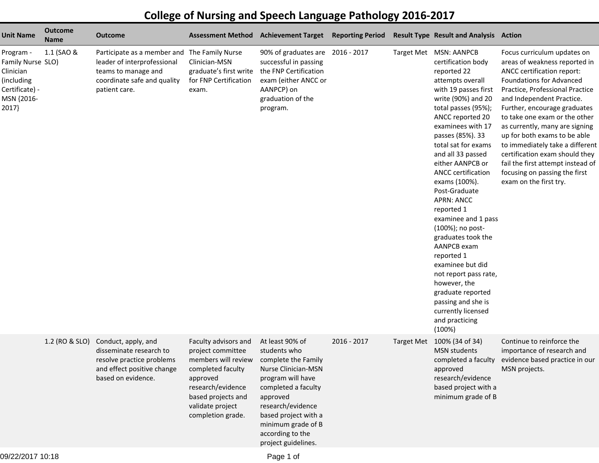## **College of Nursing and Speech Language Pathology 2016-2017**

| <b>Unit Name</b>                                                                                   | <b>Outcome</b><br><b>Name</b> | <b>Outcome</b>                                                                                                                                     | <b>Assessment Method</b>                                                                                                                                                              | <b>Achievement Target</b>                                                                                                                                                                                                                           | <b>Reporting Period</b> | <b>Result Type Result and Analysis Action</b>                                                                                                                                                                                                                                                                                                                                                                                                                                                                                                                                                                                                      |                                                                                                                                                                                                                                                                                                                                                                                                                                                                                                       |
|----------------------------------------------------------------------------------------------------|-------------------------------|----------------------------------------------------------------------------------------------------------------------------------------------------|---------------------------------------------------------------------------------------------------------------------------------------------------------------------------------------|-----------------------------------------------------------------------------------------------------------------------------------------------------------------------------------------------------------------------------------------------------|-------------------------|----------------------------------------------------------------------------------------------------------------------------------------------------------------------------------------------------------------------------------------------------------------------------------------------------------------------------------------------------------------------------------------------------------------------------------------------------------------------------------------------------------------------------------------------------------------------------------------------------------------------------------------------------|-------------------------------------------------------------------------------------------------------------------------------------------------------------------------------------------------------------------------------------------------------------------------------------------------------------------------------------------------------------------------------------------------------------------------------------------------------------------------------------------------------|
| Program -<br>Family Nurse SLO)<br>Clinician<br>(including<br>Certificate) -<br>MSN {2016-<br>2017} | 1.1 (SAO &                    | Participate as a member and The Family Nurse<br>leader of interprofessional<br>teams to manage and<br>coordinate safe and quality<br>patient care. | Clinician-MSN<br>graduate's first write<br>for FNP Certification<br>exam.                                                                                                             | 90% of graduates are 2016 - 2017<br>successful in passing<br>the FNP Certification<br>exam (either ANCC or<br>AANPCP) on<br>graduation of the<br>program.                                                                                           |                         | Target Met MSN: AANPCB<br>certification body<br>reported 22<br>attempts overall<br>with 19 passes first<br>write (90%) and 20<br>total passes (95%);<br>ANCC reported 20<br>examinees with 17<br>passes (85%). 33<br>total sat for exams<br>and all 33 passed<br>either AANPCB or<br><b>ANCC</b> certification<br>exams (100%).<br>Post-Graduate<br><b>APRN: ANCC</b><br>reported 1<br>examinee and 1 pass<br>(100%); no post-<br>graduates took the<br><b>AANPCB</b> exam<br>reported 1<br>examinee but did<br>not report pass rate,<br>however, the<br>graduate reported<br>passing and she is<br>currently licensed<br>and practicing<br>(100%) | Focus curriculum updates on<br>areas of weakness reported in<br>ANCC certification report:<br><b>Foundations for Advanced</b><br>Practice, Professional Practice<br>and Independent Practice.<br>Further, encourage graduates<br>to take one exam or the other<br>as currently, many are signing<br>up for both exams to be able<br>to immediately take a different<br>certification exam should they<br>fail the first attempt instead of<br>focusing on passing the first<br>exam on the first try. |
|                                                                                                    | 1.2 (RO & SLO)                | Conduct, apply, and<br>disseminate research to<br>resolve practice problems<br>and effect positive change<br>based on evidence.                    | Faculty advisors and<br>project committee<br>members will review<br>completed faculty<br>approved<br>research/evidence<br>based projects and<br>validate project<br>completion grade. | At least 90% of<br>students who<br>complete the Family<br>Nurse Clinician-MSN<br>program will have<br>completed a faculty<br>approved<br>research/evidence<br>based project with a<br>minimum grade of B<br>according to the<br>project guidelines. | 2016 - 2017             | Target Met 100% (34 of 34)<br><b>MSN</b> students<br>completed a faculty<br>approved<br>research/evidence<br>based project with a<br>minimum grade of B                                                                                                                                                                                                                                                                                                                                                                                                                                                                                            | Continue to reinforce the<br>importance of research and<br>evidence based practice in our<br>MSN projects.                                                                                                                                                                                                                                                                                                                                                                                            |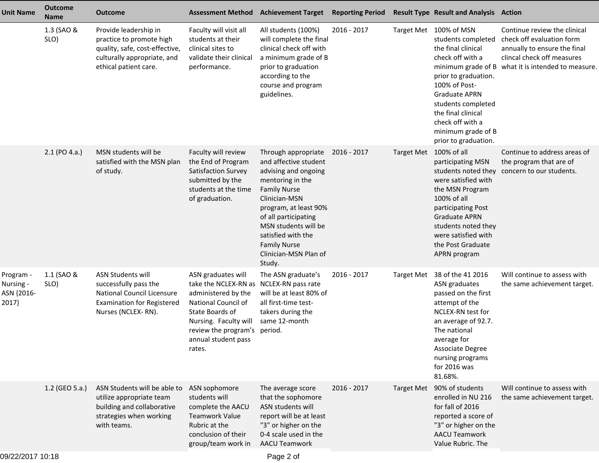| Unit Name                                     | <b>Outcome</b><br><b>Name</b> | <b>Outcome</b>                                                                                                                              | <b>Assessment Method</b>                                                                                                                                                                      | <b>Achievement Target</b>                                                                                                                                                                                                                                                                 | <b>Reporting Period</b> |                        | <b>Result Type Result and Analysis Action</b>                                                                                                                                                                                                                         |                                                                                                                                                                               |
|-----------------------------------------------|-------------------------------|---------------------------------------------------------------------------------------------------------------------------------------------|-----------------------------------------------------------------------------------------------------------------------------------------------------------------------------------------------|-------------------------------------------------------------------------------------------------------------------------------------------------------------------------------------------------------------------------------------------------------------------------------------------|-------------------------|------------------------|-----------------------------------------------------------------------------------------------------------------------------------------------------------------------------------------------------------------------------------------------------------------------|-------------------------------------------------------------------------------------------------------------------------------------------------------------------------------|
|                                               | 1.3 (SAO &<br>SLO)            | Provide leadership in<br>practice to promote high<br>quality, safe, cost-effective,<br>culturally appropriate, and<br>ethical patient care. | Faculty will visit all<br>students at their<br>clinical sites to<br>validate their clinical<br>performance.                                                                                   | All students (100%)<br>will complete the final<br>clinical check off with<br>a minimum grade of B<br>prior to graduation<br>according to the<br>course and program<br>guidelines.                                                                                                         | 2016 - 2017             |                        | Target Met 100% of MSN<br>students completed<br>the final clinical<br>check off with a<br>prior to graduation.<br>100% of Post-<br><b>Graduate APRN</b><br>students completed<br>the final clinical<br>check off with a<br>minimum grade of B<br>prior to graduation. | Continue review the clinical<br>check off evaluation form<br>annually to ensure the final<br>clincal check off measures<br>minimum grade of B what it is intended to measure. |
|                                               | $2.1$ (PO 4.a.)               | MSN students will be<br>satisfied with the MSN plan<br>of study.                                                                            | Faculty will review<br>the End of Program<br>Satisfaction Survey<br>submitted by the<br>students at the time<br>of graduation.                                                                | Through appropriate<br>and affective student<br>advising and ongoing<br>mentoring in the<br><b>Family Nurse</b><br>Clinician-MSN<br>program, at least 90%<br>of all participating<br>MSN students will be<br>satisfied with the<br><b>Family Nurse</b><br>Clinician-MSN Plan of<br>Study. | 2016 - 2017             | Target Met 100% of all | participating MSN<br>students noted they<br>were satisfied with<br>the MSN Program<br>100% of all<br>participating Post<br><b>Graduate APRN</b><br>students noted they<br>were satisfied with<br>the Post Graduate<br>APRN program                                    | Continue to address areas of<br>the program that are of<br>concern to our students.                                                                                           |
| Program -<br>Nursing -<br>ASN {2016-<br>2017} | 1.1 (SAO &<br>SLO)            | <b>ASN Students will</b><br>successfully pass the<br>National Council Licensure<br><b>Examination for Registered</b><br>Nurses (NCLEX-RN).  | ASN graduates will<br>take the NCLEX-RN as<br>administered by the<br>National Council of<br>State Boards of<br>Nursing. Faculty will<br>review the program's<br>annual student pass<br>rates. | The ASN graduate's<br>NCLEX-RN pass rate<br>will be at least 80% of<br>all first-time test-<br>takers during the<br>same 12-month<br>period.                                                                                                                                              | 2016 - 2017             | <b>Target Met</b>      | 38 of the 41 2016<br>ASN graduates<br>passed on the first<br>attempt of the<br>NCLEX-RN test for<br>an average of 92.7.<br>The national<br>average for<br>Associate Degree<br>nursing programs<br>for 2016 was<br>81.68%.                                             | Will continue to assess with<br>the same achievement target.                                                                                                                  |
|                                               | 1.2 (GEO 5.a.)                | ASN Students will be able to<br>utilize appropriate team<br>building and collaborative<br>strategies when working<br>with teams.            | ASN sophomore<br>students will<br>complete the AACU<br><b>Teamwork Value</b><br>Rubric at the<br>conclusion of their<br>group/team work in                                                    | The average score<br>that the sophomore<br>ASN students will<br>report will be at least<br>"3" or higher on the<br>0-4 scale used in the<br><b>AACU Teamwork</b>                                                                                                                          | 2016 - 2017             |                        | Target Met 90% of students<br>enrolled in NU 216<br>for fall of 2016<br>reported a score of<br>"3" or higher on the<br><b>AACU Teamwork</b><br>Value Rubric. The                                                                                                      | Will continue to assess with<br>the same achievement target.                                                                                                                  |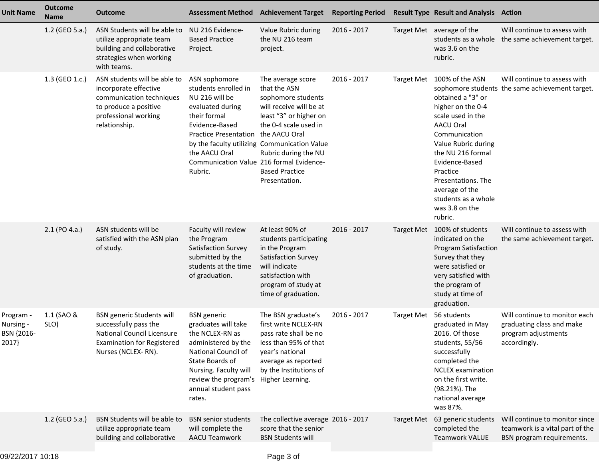| <b>Unit Name</b>                             | <b>Outcome</b><br><b>Name</b> | <b>Outcome</b>                                                                                                                                      | <b>Assessment Method</b>                                                                                                                                                                                                                                              | <b>Achievement Target</b>                                                                                                                                                                                                | <b>Reporting Period</b> |                   | <b>Result Type Result and Analysis Action</b>                                                                                                                                                                                                                                             |                                                                                                   |
|----------------------------------------------|-------------------------------|-----------------------------------------------------------------------------------------------------------------------------------------------------|-----------------------------------------------------------------------------------------------------------------------------------------------------------------------------------------------------------------------------------------------------------------------|--------------------------------------------------------------------------------------------------------------------------------------------------------------------------------------------------------------------------|-------------------------|-------------------|-------------------------------------------------------------------------------------------------------------------------------------------------------------------------------------------------------------------------------------------------------------------------------------------|---------------------------------------------------------------------------------------------------|
|                                              | 1.2 (GEO 5.a.)                | ASN Students will be able to<br>utilize appropriate team<br>building and collaborative<br>strategies when working<br>with teams.                    | NU 216 Evidence-<br><b>Based Practice</b><br>Project.                                                                                                                                                                                                                 | Value Rubric during<br>the NU 216 team<br>project.                                                                                                                                                                       | 2016 - 2017             |                   | Target Met average of the<br>students as a whole<br>was 3.6 on the<br>rubric.                                                                                                                                                                                                             | Will continue to assess with<br>the same achievement target.                                      |
|                                              | 1.3 (GEO 1.c.)                | ASN students will be able to<br>incorporate effective<br>communication techniques<br>to produce a positive<br>professional working<br>relationship. | ASN sophomore<br>students enrolled in<br>NU 216 will be<br>evaluated during<br>their formal<br>Evidence-Based<br><b>Practice Presentation</b><br>by the faculty utilizing Communication Value<br>the AACU Oral<br>Communication Value 216 formal Evidence-<br>Rubric. | The average score<br>that the ASN<br>sophomore students<br>will receive will be at<br>least "3" or higher on<br>the 0-4 scale used in<br>the AACU Oral<br>Rubric during the NU<br><b>Based Practice</b><br>Presentation. | 2016 - 2017             | <b>Target Met</b> | 100% of the ASN<br>obtained a "3" or<br>higher on the 0-4<br>scale used in the<br><b>AACU Oral</b><br>Communication<br>Value Rubric during<br>the NU 216 formal<br>Evidence-Based<br>Practice<br>Presentations. The<br>average of the<br>students as a whole<br>was 3.8 on the<br>rubric. | Will continue to assess with<br>sophomore students the same achievement target.                   |
|                                              | 2.1 (PO 4.a.)                 | ASN students will be<br>satisfied with the ASN plan<br>of study.                                                                                    | Faculty will review<br>the Program<br>Satisfaction Survey<br>submitted by the<br>students at the time<br>of graduation.                                                                                                                                               | At least 90% of<br>students participating<br>in the Program<br>Satisfaction Survey<br>will indicate<br>satisfaction with<br>program of study at<br>time of graduation.                                                   | 2016 - 2017             |                   | Target Met 100% of students<br>indicated on the<br><b>Program Satisfaction</b><br>Survey that they<br>were satisfied or<br>very satisfied with<br>the program of<br>study at time of<br>graduation.                                                                                       | Will continue to assess with<br>the same achievement target.                                      |
| Program -<br>Nursing -<br>BSN {2016-<br>2017 | 1.1 (SAO &<br>SLO)            | <b>BSN</b> generic Students will<br>successfully pass the<br>National Council Licensure<br><b>Examination for Registered</b><br>Nurses (NCLEX-RN).  | <b>BSN</b> generic<br>graduates will take<br>the NCLEX-RN as<br>administered by the<br>National Council of<br>State Boards of<br>Nursing. Faculty will<br>review the program's Higher Learning.<br>annual student pass<br>rates.                                      | The BSN graduate's<br>first write NCLEX-RN<br>pass rate shall be no<br>less than 95% of that<br>year's national<br>average as reported<br>by the Institutions of                                                         | 2016 - 2017             | <b>Target Met</b> | 56 students<br>graduated in May<br>2016. Of those<br>students, 55/56<br>successfully<br>completed the<br><b>NCLEX</b> examination<br>on the first write.<br>(98.21%). The<br>national average<br>was 87%.                                                                                 | Will continue to monitor each<br>graduating class and make<br>program adjustments<br>accordingly. |
|                                              | 1.2 (GEO 5.a.)                | BSN Students will be able to<br>utilize appropriate team<br>building and collaborative                                                              | <b>BSN</b> senior students<br>will complete the<br><b>AACU Teamwork</b>                                                                                                                                                                                               | The collective average 2016 - 2017<br>score that the senior<br><b>BSN Students will</b>                                                                                                                                  |                         | <b>Target Met</b> | 63 generic students<br>completed the<br><b>Teamwork VALUE</b>                                                                                                                                                                                                                             | Will continue to monitor since<br>teamwork is a vital part of the<br>BSN program requirements.    |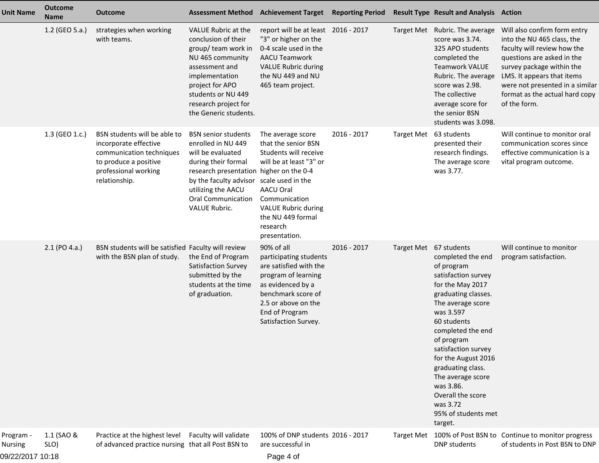| <b>Unit Name</b>                         | <b>Outcome</b><br><b>Name</b> | <b>Outcome</b>                                                                                                                                      |                                                                                                                                                                                                                                                         | Assessment Method Achievement Target Reporting Period                                                                                                                                                      |             |                        | <b>Result Type Result and Analysis Action</b>                                                                                                                                                                                                                                                                                                                 |                                                                                                                                                                                                                                                                         |
|------------------------------------------|-------------------------------|-----------------------------------------------------------------------------------------------------------------------------------------------------|---------------------------------------------------------------------------------------------------------------------------------------------------------------------------------------------------------------------------------------------------------|------------------------------------------------------------------------------------------------------------------------------------------------------------------------------------------------------------|-------------|------------------------|---------------------------------------------------------------------------------------------------------------------------------------------------------------------------------------------------------------------------------------------------------------------------------------------------------------------------------------------------------------|-------------------------------------------------------------------------------------------------------------------------------------------------------------------------------------------------------------------------------------------------------------------------|
|                                          | 1.2 (GEO 5.a.)                | strategies when working<br>with teams.                                                                                                              | VALUE Rubric at the<br>conclusion of their<br>group/ team work in<br>NU 465 community<br>assessment and<br>implementation<br>project for APO<br>students or NU 449<br>research project for<br>the Generic students.                                     | report will be at least 2016 - 2017<br>"3" or higher on the<br>0-4 scale used in the<br><b>AACU Teamwork</b><br><b>VALUE Rubric during</b><br>the NU 449 and NU<br>465 team project.                       |             |                        | Target Met Rubric. The average<br>score was 3.74.<br>325 APO students<br>completed the<br><b>Teamwork VALUE</b><br>Rubric. The average<br>score was 2.98.<br>The collective<br>average score for<br>the senior BSN<br>students was 3.098.                                                                                                                     | Will also confirm form entry<br>into the NU 465 class, the<br>faculty will review how the<br>questions are asked in the<br>survey package within the<br>LMS. It appears that items<br>were not presented in a similar<br>format as the actual hard copy<br>of the form. |
|                                          | 1.3 (GEO 1.c.)                | BSN students will be able to<br>incorporate effective<br>communication techniques<br>to produce a positive<br>professional working<br>relationship. | <b>BSN</b> senior students<br>enrolled in NU 449<br>will be evaluated<br>during their formal<br>research presentation higher on the 0-4<br>by the faculty advisor scale used in the<br>utilizing the AACU<br><b>Oral Communication</b><br>VALUE Rubric. | The average score<br>that the senior BSN<br>Students will receive<br>will be at least "3" or<br>AACU Oral<br>Communication<br><b>VALUE Rubric during</b><br>the NU 449 formal<br>research<br>presentation. | 2016 - 2017 | Target Met 63 students | presented their<br>research findings.<br>The average score<br>was 3.77.                                                                                                                                                                                                                                                                                       | Will continue to monitor oral<br>communication scores since<br>effective communication is a<br>vital program outcome.                                                                                                                                                   |
|                                          | 2.1 (PO 4.a.)                 | BSN students will be satisfied Faculty will review<br>with the BSN plan of study.                                                                   | the End of Program<br>Satisfaction Survey<br>submitted by the<br>students at the time<br>of graduation.                                                                                                                                                 | 90% of all<br>participating students<br>are satisfied with the<br>program of learning<br>as evidenced by a<br>benchmark score of<br>2.5 or above on the<br>End of Program<br>Satisfaction Survey.          | 2016 - 2017 | Target Met 67 students | completed the end<br>of program<br>satisfaction survey<br>for the May 2017<br>graduating classes.<br>The average score<br>was 3.597<br>60 students<br>completed the end<br>of program<br>satisfaction survey<br>for the August 2016<br>graduating class.<br>The average score<br>was 3.86.<br>Overall the score<br>was 3.72<br>95% of students met<br>target. | Will continue to monitor<br>program satisfaction.                                                                                                                                                                                                                       |
| Program -<br>Nursing<br>09/22/2017 10:18 | 1.1 (SAO &<br>SLO)            | Practice at the highest level<br>of advanced practice nursing that all Post BSN to                                                                  | Faculty will validate                                                                                                                                                                                                                                   | 100% of DNP students 2016 - 2017<br>are successful in<br>Page 4 of                                                                                                                                         |             |                        | DNP students                                                                                                                                                                                                                                                                                                                                                  | Target Met 100% of Post BSN to Continue to monitor progress<br>of students in Post BSN to DNP                                                                                                                                                                           |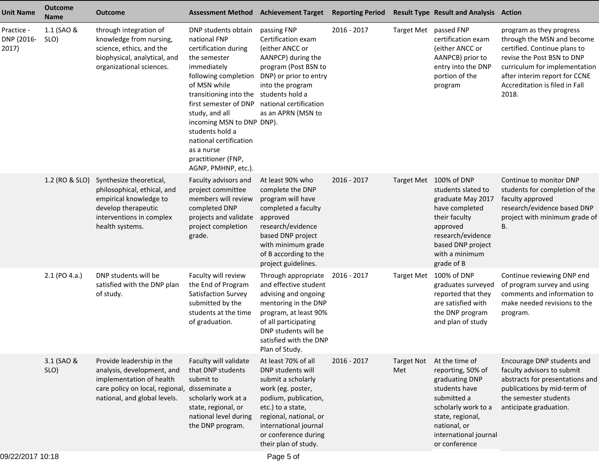| <b>Unit Name</b>                  | <b>Outcome</b><br><b>Name</b> | <b>Outcome</b>                                                                                                                                                       | <b>Assessment Method</b>                                                                                                                                                                                                                                                                                                                                     | <b>Achievement Target</b>                                                                                                                                                                                                           | <b>Reporting Period</b> |                          | <b>Result Type Result and Analysis Action</b>                                                                                                                                              |                                                                                                                                                                                                                                   |
|-----------------------------------|-------------------------------|----------------------------------------------------------------------------------------------------------------------------------------------------------------------|--------------------------------------------------------------------------------------------------------------------------------------------------------------------------------------------------------------------------------------------------------------------------------------------------------------------------------------------------------------|-------------------------------------------------------------------------------------------------------------------------------------------------------------------------------------------------------------------------------------|-------------------------|--------------------------|--------------------------------------------------------------------------------------------------------------------------------------------------------------------------------------------|-----------------------------------------------------------------------------------------------------------------------------------------------------------------------------------------------------------------------------------|
| Practice -<br>DNP {2016-<br>2017} | 1.1 (SAO &<br>SLO)            | through integration of<br>knowledge from nursing,<br>science, ethics, and the<br>biophysical, analytical, and<br>organizational sciences.                            | DNP students obtain<br>national FNP<br>certification during<br>the semester<br>immediately<br>following completion<br>of MSN while<br>transitioning into the students hold a<br>first semester of DNP<br>study, and all<br>incoming MSN to DNP DNP).<br>students hold a<br>national certification<br>as a nurse<br>practitioner (FNP,<br>AGNP, PMHNP, etc.). | passing FNP<br>Certification exam<br>(either ANCC or<br>AANPCP) during the<br>program (Post BSN to<br>DNP) or prior to entry<br>into the program<br>national certification<br>as an APRN (MSN to                                    | 2016 - 2017             | Target Met passed FNP    | certification exam<br>(either ANCC or<br>AANPCB) prior to<br>entry into the DNP<br>portion of the<br>program                                                                               | program as they progress<br>through the MSN and become<br>certified. Continue plans to<br>revise the Post BSN to DNP<br>curriculum for implementation<br>after interim report for CCNE<br>Accreditation is filed in Fall<br>2018. |
|                                   | 1.2 (RO & SLO)                | Synthesize theoretical,<br>philosophical, ethical, and<br>empirical knowledge to<br>develop therapeutic<br>interventions in complex<br>health systems.               | Faculty advisors and<br>project committee<br>members will review<br>completed DNP<br>projects and validate<br>project completion<br>grade.                                                                                                                                                                                                                   | At least 90% who<br>complete the DNP<br>program will have<br>completed a faculty<br>approved<br>research/evidence<br>based DNP project<br>with minimum grade<br>of B according to the<br>project guidelines.                        | 2016 - 2017             |                          | Target Met 100% of DNP<br>students slated to<br>graduate May 2017<br>have completed<br>their faculty<br>approved<br>research/evidence<br>based DNP project<br>with a minimum<br>grade of B | Continue to monitor DNP<br>students for completion of the<br>faculty approved<br>research/evidence based DNP<br>project with minimum grade of<br>В.                                                                               |
|                                   | 2.1 (PO 4.a.)                 | DNP students will be<br>satisfied with the DNP plan<br>of study.                                                                                                     | Faculty will review<br>the End of Program<br>Satisfaction Survey<br>submitted by the<br>students at the time<br>of graduation.                                                                                                                                                                                                                               | Through appropriate<br>and effective student<br>advising and ongoing<br>mentoring in the DNP<br>program, at least 90%<br>of all participating<br>DNP students will be<br>satisfied with the DNP<br>Plan of Study.                   | 2016 - 2017             |                          | Target Met 100% of DNP<br>graduates surveyed<br>reported that they<br>are satisfied with<br>the DNP program<br>and plan of study                                                           | Continue reviewing DNP end<br>of program survey and using<br>comments and information to<br>make needed revisions to the<br>program.                                                                                              |
|                                   | 3.1 (SAO &<br>SLO)            | Provide leadership in the<br>analysis, development, and<br>implementation of health<br>care policy on local, regional, disseminate a<br>national, and global levels. | Faculty will validate<br>that DNP students<br>submit to<br>scholarly work at a<br>state, regional, or<br>national level during<br>the DNP program.                                                                                                                                                                                                           | At least 70% of all<br>DNP students will<br>submit a scholarly<br>work (eg. poster,<br>podium, publication,<br>etc.) to a state,<br>regional, national, or<br>international journal<br>or conference during<br>their plan of study. | $2016 - 2017$           | <b>Target Not</b><br>Met | At the time of<br>reporting, 50% of<br>graduating DNP<br>students have<br>submitted a<br>scholarly work to a<br>state, regional,<br>national, or<br>international journal<br>or conference | Encourage DNP students and<br>faculty advisors to submit<br>abstracts for presentations and<br>publications by mid-term of<br>the semester students<br>anticipate graduation.                                                     |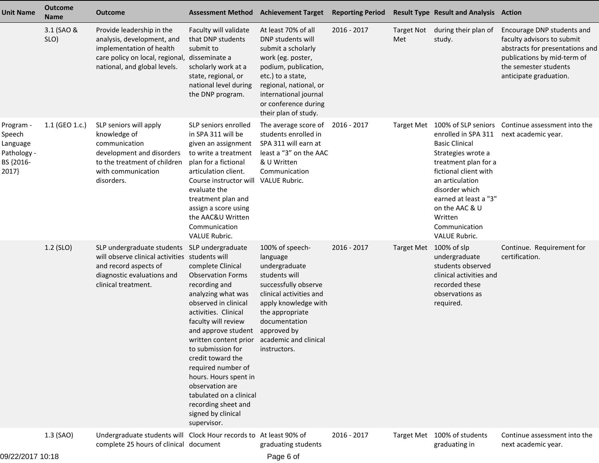| <b>Unit Name</b>                                                     | <b>Outcome</b><br><b>Name</b> | <b>Outcome</b>                                                                                                                                                               | <b>Assessment Method</b>                                                                                                                                                                                                                                                                                                                                                                                       | <b>Achievement Target Reporting Period</b>                                                                                                                                                                                           |             |                          | <b>Result Type Result and Analysis Action</b>                                                                                                                                                                                                                                  |                                                                                                                                                                               |
|----------------------------------------------------------------------|-------------------------------|------------------------------------------------------------------------------------------------------------------------------------------------------------------------------|----------------------------------------------------------------------------------------------------------------------------------------------------------------------------------------------------------------------------------------------------------------------------------------------------------------------------------------------------------------------------------------------------------------|--------------------------------------------------------------------------------------------------------------------------------------------------------------------------------------------------------------------------------------|-------------|--------------------------|--------------------------------------------------------------------------------------------------------------------------------------------------------------------------------------------------------------------------------------------------------------------------------|-------------------------------------------------------------------------------------------------------------------------------------------------------------------------------|
|                                                                      | 3.1 (SAO &<br>SLO)            | Provide leadership in the<br>analysis, development, and<br>implementation of health<br>care policy on local, regional,<br>national, and global levels.                       | Faculty will validate<br>that DNP students<br>submit to<br>disseminate a<br>scholarly work at a<br>state, regional, or<br>national level during<br>the DNP program.                                                                                                                                                                                                                                            | At least 70% of all<br>DNP students will<br>submit a scholarly<br>work (eg. poster,<br>podium, publication,<br>etc.) to a state,<br>regional, national, or<br>international journal<br>or conference during<br>their plan of study.  | 2016 - 2017 | <b>Target Not</b><br>Met | during their plan of<br>study.                                                                                                                                                                                                                                                 | Encourage DNP students and<br>faculty advisors to submit<br>abstracts for presentations and<br>publications by mid-term of<br>the semester students<br>anticipate graduation. |
| Program -<br>Speech<br>Language<br>Pathology -<br>BS {2016-<br>2017} | 1.1 (GEO 1.c.)                | SLP seniors will apply<br>knowledge of<br>communication<br>development and disorders<br>to the treatment of children<br>with communication<br>disorders.                     | SLP seniors enrolled<br>in SPA 311 will be<br>given an assignment<br>to write a treatment<br>plan for a fictional<br>articulation client.<br>Course instructor will<br>evaluate the<br>treatment plan and<br>assign a score using<br>the AAC&U Written<br>Communication<br><b>VALUE Rubric.</b>                                                                                                                | The average score of<br>students enrolled in<br>SPA 311 will earn at<br>least a "3" on the AAC<br>& U Written<br>Communication<br><b>VALUE Rubric.</b>                                                                               | 2016 - 2017 | <b>Target Met</b>        | 100% of SLP seniors<br>enrolled in SPA 311<br><b>Basic Clinical</b><br>Strategies wrote a<br>treatment plan for a<br>fictional client with<br>an articulation<br>disorder which<br>earned at least a "3"<br>on the AAC & U<br>Written<br>Communication<br><b>VALUE Rubric.</b> | Continue assessment into the<br>next academic year.                                                                                                                           |
|                                                                      | 1.2 (SLO)                     | SLP undergraduate students SLP undergraduate<br>will observe clinical activities students will<br>and record aspects of<br>diagnostic evaluations and<br>clinical treatment. | complete Clinical<br><b>Observation Forms</b><br>recording and<br>analyzing what was<br>observed in clinical<br>activities. Clinical<br>faculty will review<br>and approve student<br>written content prior<br>to submission for<br>credit toward the<br>required number of<br>hours. Hours spent in<br>observation are<br>tabulated on a clinical<br>recording sheet and<br>signed by clinical<br>supervisor. | 100% of speech-<br>language<br>undergraduate<br>students will<br>successfully observe<br>clinical activities and<br>apply knowledge with<br>the appropriate<br>documentation<br>approved by<br>academic and clinical<br>instructors. | 2016 - 2017 | Target Met 100% of slp   | undergraduate<br>students observed<br>clinical activities and<br>recorded these<br>observations as<br>required.                                                                                                                                                                | Continue. Requirement for<br>certification.                                                                                                                                   |
| $00/00/0017$ $0.10$                                                  | 1.3 (SAO)                     | Undergraduate students will Clock Hour records to At least 90% of<br>complete 25 hours of clinical document                                                                  |                                                                                                                                                                                                                                                                                                                                                                                                                | graduating students                                                                                                                                                                                                                  | 2016 - 2017 |                          | Target Met 100% of students<br>graduating in                                                                                                                                                                                                                                   | Continue assessment into the<br>next academic year.                                                                                                                           |

Page 6 of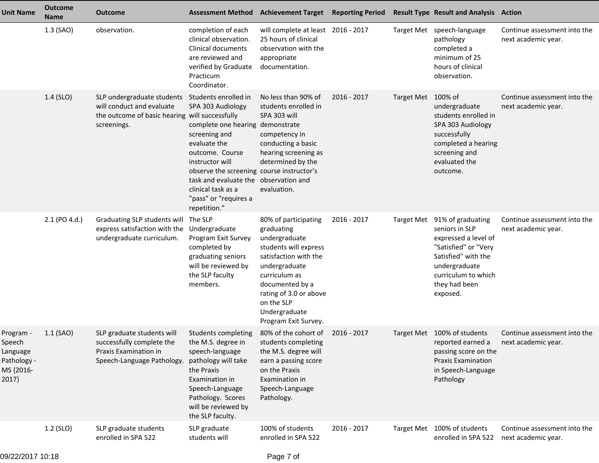| <b>Unit Name</b>                                                     | <b>Outcome</b><br><b>Name</b> | <b>Outcome</b>                                                                                                           |                                                                                                                                                                                                                                                                                               | Assessment Method Achievement Target Reporting Period                                                                                                                                                                                       |             |                   | <b>Result Type Result and Analysis Action</b>                                                                                                                                   |                                                     |
|----------------------------------------------------------------------|-------------------------------|--------------------------------------------------------------------------------------------------------------------------|-----------------------------------------------------------------------------------------------------------------------------------------------------------------------------------------------------------------------------------------------------------------------------------------------|---------------------------------------------------------------------------------------------------------------------------------------------------------------------------------------------------------------------------------------------|-------------|-------------------|---------------------------------------------------------------------------------------------------------------------------------------------------------------------------------|-----------------------------------------------------|
|                                                                      | 1.3 (SAO)                     | observation.                                                                                                             | completion of each<br>clinical observation.<br>Clinical documents<br>are reviewed and<br>verified by Graduate<br>Practicum<br>Coordinator.                                                                                                                                                    | will complete at least 2016 - 2017<br>25 hours of clinical<br>observation with the<br>appropriate<br>documentation.                                                                                                                         |             |                   | Target Met speech-language<br>pathology<br>completed a<br>minimum of 25<br>hours of clinical<br>observation.                                                                    | Continue assessment into the<br>next academic year. |
|                                                                      | 1.4 (SLO)                     | SLP undergraduate students<br>will conduct and evaluate<br>the outcome of basic hearing will successfully<br>screenings. | Students enrolled in<br>SPA 303 Audiology<br>complete one hearing<br>screening and<br>evaluate the<br>outcome. Course<br>instructor will<br>observe the screening course instructor's<br>task and evaluate the observation and<br>clinical task as a<br>"pass" or "requires a<br>repetition." | No less than 90% of<br>students enrolled in<br>SPA 303 will<br>demonstrate<br>competency in<br>conducting a basic<br>hearing screening as<br>determined by the<br>evaluation.                                                               | 2016 - 2017 | <b>Target Met</b> | 100% of<br>undergraduate<br>students enrolled in<br>SPA 303 Audiology<br>successfully<br>completed a hearing<br>screening and<br>evaluated the<br>outcome.                      | Continue assessment into the<br>next academic year. |
|                                                                      | 2.1 (PO 4.d.)                 | Graduating SLP students will<br>express satisfaction with the<br>undergraduate curriculum.                               | The SLP<br>Undergraduate<br>Program Exit Survey<br>completed by<br>graduating seniors<br>will be reviewed by<br>the SLP faculty<br>members.                                                                                                                                                   | 80% of participating<br>graduating<br>undergraduate<br>students will express<br>satisfaction with the<br>undergraduate<br>curriculum as<br>documented by a<br>rating of 3.0 or above<br>on the SLP<br>Undergraduate<br>Program Exit Survey. | 2016 - 2017 | <b>Target Met</b> | 91% of graduating<br>seniors in SLP<br>expressed a level of<br>"Satisfied" or "Very<br>Satisfied" with the<br>undergraduate<br>curriculum to which<br>they had been<br>exposed. | Continue assessment into the<br>next academic year. |
| Program -<br>Speech<br>Language<br>Pathology -<br>MS {2016-<br>2017} | $1.1$ (SAO)                   | SLP graduate students will<br>successfully complete the<br>Praxis Examination in<br>Speech-Language Pathology.           | Students completing<br>the M.S. degree in<br>speech-language<br>pathology will take<br>the Praxis<br>Examination in<br>Speech-Language<br>Pathology. Scores<br>will be reviewed by<br>the SLP faculty.                                                                                        | 80% of the cohort of<br>students completing<br>the M.S. degree will<br>earn a passing score<br>on the Praxis<br>Examination in<br>Speech-Language<br>Pathology.                                                                             | 2016 - 2017 |                   | Target Met 100% of students<br>reported earned a next academic year.<br>passing score on the<br><b>Praxis Examination</b><br>in Speech-Language<br>Pathology                    | Continue assessment into the                        |
|                                                                      | 1.2 (SLO)                     | SLP graduate students<br>enrolled in SPA 522                                                                             | SLP graduate<br>students will                                                                                                                                                                                                                                                                 | 100% of students<br>enrolled in SPA 522                                                                                                                                                                                                     | 2016 - 2017 | <b>Target Met</b> | 100% of students<br>enrolled in SPA 522                                                                                                                                         | Continue assessment into the<br>next academic year. |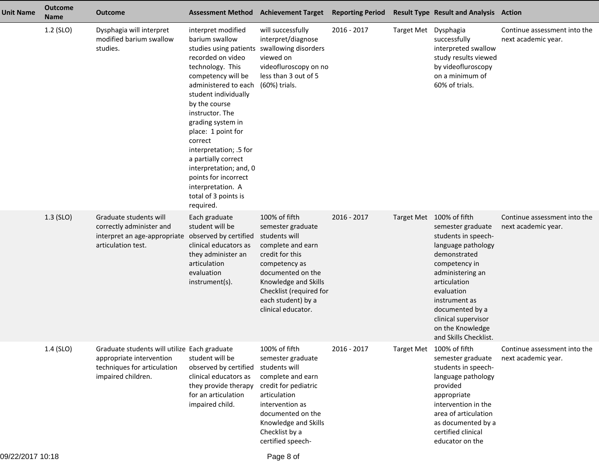| <b>Unit Name</b> | <b>Outcome</b><br><b>Name</b> | <b>Outcome</b>                                                                                                                |                                                                                                                                                                                                                                                                                                                                                                                                                                      | <b>Assessment Method Achievement Target</b>                                                                                                                                                                                      | <b>Reporting Period</b> |                      | <b>Result Type Result and Analysis Action</b>                                                                                                                                                                                                                                         |                                                     |
|------------------|-------------------------------|-------------------------------------------------------------------------------------------------------------------------------|--------------------------------------------------------------------------------------------------------------------------------------------------------------------------------------------------------------------------------------------------------------------------------------------------------------------------------------------------------------------------------------------------------------------------------------|----------------------------------------------------------------------------------------------------------------------------------------------------------------------------------------------------------------------------------|-------------------------|----------------------|---------------------------------------------------------------------------------------------------------------------------------------------------------------------------------------------------------------------------------------------------------------------------------------|-----------------------------------------------------|
|                  | 1.2 (SLO)                     | Dysphagia will interpret<br>modified barium swallow<br>studies.                                                               | interpret modified<br>barium swallow<br>studies using patients<br>recorded on video<br>technology. This<br>competency will be<br>administered to each<br>student individually<br>by the course<br>instructor. The<br>grading system in<br>place: 1 point for<br>correct<br>interpretation; .5 for<br>a partially correct<br>interpretation; and, 0<br>points for incorrect<br>interpretation. A<br>total of 3 points is<br>required. | will successfully<br>interpret/diagnose<br>swallowing disorders<br>viewed on<br>videofluroscopy on no<br>less than 3 out of 5<br>(60%) trials.                                                                                   | 2016 - 2017             | Target Met Dysphagia | successfully<br>interpreted swallow<br>study results viewed<br>by videofluroscopy<br>on a minimum of<br>60% of trials.                                                                                                                                                                | Continue assessment into the<br>next academic year. |
|                  | 1.3 (SLO)                     | Graduate students will<br>correctly administer and<br>interpret an age-appropriate<br>articulation test.                      | Each graduate<br>student will be<br>observed by certified<br>clinical educators as<br>they administer an<br>articulation<br>evaluation<br>instrument(s).                                                                                                                                                                                                                                                                             | 100% of fifth<br>semester graduate<br>students will<br>complete and earn<br>credit for this<br>competency as<br>documented on the<br>Knowledge and Skills<br>Checklist (required for<br>each student) by a<br>clinical educator. | 2016 - 2017             |                      | Target Met 100% of fifth<br>semester graduate<br>students in speech-<br>language pathology<br>demonstrated<br>competency in<br>administering an<br>articulation<br>evaluation<br>instrument as<br>documented by a<br>clinical supervisor<br>on the Knowledge<br>and Skills Checklist. | Continue assessment into the<br>next academic year. |
|                  | 1.4 (SLO)                     | Graduate students will utilize Each graduate<br>appropriate intervention<br>techniques for articulation<br>impaired children. | student will be<br>observed by certified<br>clinical educators as<br>they provide therapy<br>for an articulation<br>impaired child.                                                                                                                                                                                                                                                                                                  | 100% of fifth<br>semester graduate<br>students will<br>complete and earn<br>credit for pediatric<br>articulation<br>intervention as<br>documented on the<br>Knowledge and Skills<br>Checklist by a<br>certified speech-          | 2016 - 2017             |                      | Target Met 100% of fifth<br>semester graduate<br>students in speech-<br>language pathology<br>provided<br>appropriate<br>intervention in the<br>area of articulation<br>as documented by a<br>certified clinical<br>educator on the                                                   | Continue assessment into the<br>next academic year. |